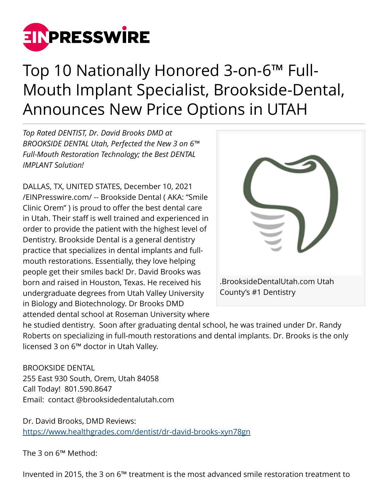

# Top 10 Nationally Honored 3-on-6™ Full-Mouth Implant Specialist, Brookside-Dental, Announces New Price Options in UTAH

*Top Rated DENTIST, Dr. David Brooks DMD at BROOKSIDE DENTAL Utah, Perfected the New 3 on 6™ Full-Mouth Restoration Technology; the Best DENTAL IMPLANT Solution!*

DALLAS, TX, UNITED STATES, December 10, 2021 [/EINPresswire.com/](http://www.einpresswire.com) -- Brookside Dental ( AKA: "Smile Clinic Orem" ) is proud to offer the best dental care in Utah. Their staff is well trained and experienced in order to provide the patient with the highest level of Dentistry. Brookside Dental is a general dentistry practice that specializes in dental implants and fullmouth restorations. Essentially, they love helping people get their smiles back! Dr. David Brooks was born and raised in Houston, Texas. He received his undergraduate degrees from Utah Valley University in Biology and Biotechnology. Dr Brooks DMD attended dental school at Roseman University where



he studied dentistry. Soon after graduating dental school, he was trained under Dr. Randy Roberts on specializing in full-mouth restorations and dental implants. Dr. Brooks is the only licensed 3 on 6™ doctor in Utah Valley.

BROOKSIDE DENTAL 255 East 930 South, Orem, Utah 84058 Call Today! 801.590.8647 Email: contact @brooksidedentalutah.com

Dr. David Brooks, DMD Reviews: <https://www.healthgrades.com/dentist/dr-david-brooks-xyn78gn>

The 3 on 6™ Method:

Invented in 2015, the 3 on 6™ treatment is the most advanced smile restoration treatment to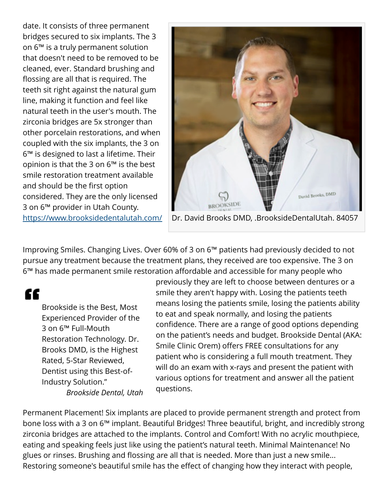date. It consists of three permanent bridges secured to six implants. The 3 on 6™ is a truly permanent solution that doesn't need to be removed to be cleaned, ever. Standard brushing and flossing are all that is required. The teeth sit right against the natural gum line, making it function and feel like natural teeth in the user's mouth. The zirconia bridges are 5x stronger than other porcelain restorations, and when coupled with the six implants, the 3 on 6™ is designed to last a lifetime. Their opinion is that the 3 on 6™ is the best smile restoration treatment available and should be the first option considered. They are the only licensed 3 on 6™ provider in Utah County. <https://www.brooksidedentalutah.com/>



Improving Smiles. Changing Lives. Over 60% of 3 on 6™ patients had previously decided to not pursue any treatment because the treatment plans, they received are too expensive. The 3 on 6™ has made permanent smile restoration affordable and accessible for many people who

"

Brookside is the Best, Most Experienced Provider of the 3 on 6™ Full-Mouth Restoration Technology. Dr. Brooks DMD, is the Highest Rated, 5-Star Reviewed, Dentist using this Best-of-Industry Solution." *Brookside Dental, Utah* previously they are left to choose between dentures or a smile they aren't happy with. Losing the patients teeth means losing the patients smile, losing the patients ability to eat and speak normally, and losing the patients confidence. There are a range of good options depending on the patient's needs and budget. Brookside Dental (AKA: Smile Clinic Orem) offers FREE consultations for any patient who is considering a full mouth treatment. They will do an exam with x-rays and present the patient with various options for treatment and answer all the patient questions.

Permanent Placement! Six implants are placed to provide permanent strength and protect from bone loss with a 3 on 6™ implant. Beautiful Bridges! Three beautiful, bright, and incredibly strong zirconia bridges are attached to the implants. Control and Comfort! With no acrylic mouthpiece, eating and speaking feels just like using the patient's natural teeth. Minimal Maintenance! No glues or rinses. Brushing and flossing are all that is needed. More than just a new smile... Restoring someone's beautiful smile has the effect of changing how they interact with people,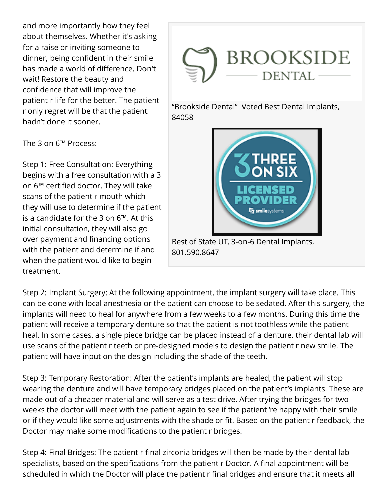and more importantly how they feel about themselves. Whether it's asking for a raise or inviting someone to dinner, being confident in their smile has made a world of difference. Don't wait! Restore the beauty and confidence that will improve the patient r life for the better. The patient r only regret will be that the patient hadn't done it sooner.

The 3 on 6™ Process:

Step 1: Free Consultation: Everything begins with a free consultation with a 3 on 6™ certified doctor. They will take scans of the patient r mouth which they will use to determine if the patient is a candidate for the 3 on 6™. At this initial consultation, they will also go over payment and financing options with the patient and determine if and when the patient would like to begin treatment.



"Brookside Dental" Voted Best Dental Implants, 84058



Best of State UT, 3-on-6 Dental Implants, 801.590.8647

Step 2: Implant Surgery: At the following appointment, the implant surgery will take place. This can be done with local anesthesia or the patient can choose to be sedated. After this surgery, the implants will need to heal for anywhere from a few weeks to a few months. During this time the patient will receive a temporary denture so that the patient is not toothless while the patient heal. In some cases, a single piece bridge can be placed instead of a denture. their dental lab will use scans of the patient r teeth or pre-designed models to design the patient r new smile. The patient will have input on the design including the shade of the teeth.

Step 3: Temporary Restoration: After the patient's implants are healed, the patient will stop wearing the denture and will have temporary bridges placed on the patient's implants. These are made out of a cheaper material and will serve as a test drive. After trying the bridges for two weeks the doctor will meet with the patient again to see if the patient 're happy with their smile or if they would like some adjustments with the shade or fit. Based on the patient r feedback, the Doctor may make some modifications to the patient r bridges.

Step 4: Final Bridges: The patient r final zirconia bridges will then be made by their dental lab specialists, based on the specifications from the patient r Doctor. A final appointment will be scheduled in which the Doctor will place the patient r final bridges and ensure that it meets all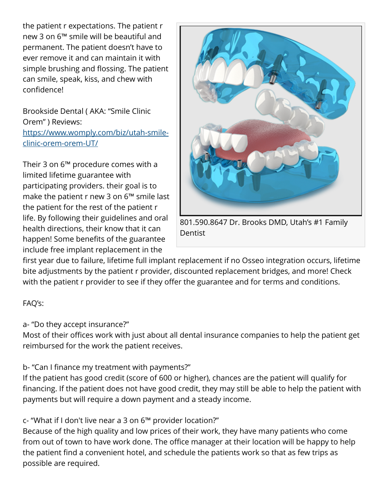the patient r expectations. The patient r new 3 on 6™ smile will be beautiful and permanent. The patient doesn't have to ever remove it and can maintain it with simple brushing and flossing. The patient can smile, speak, kiss, and chew with confidence!

Brookside Dental ( AKA: "Smile Clinic Orem" ) Reviews: [https://www.womply.com/biz/utah-smile](https://www.womply.com/biz/utah-smile-clinic-orem-orem-UT/)[clinic-orem-orem-UT/](https://www.womply.com/biz/utah-smile-clinic-orem-orem-UT/) 

Their 3 on 6™ procedure comes with a limited lifetime guarantee with participating providers. their goal is to make the patient r new 3 on 6™ smile last the patient for the rest of the patient r life. By following their guidelines and oral health directions, their know that it can happen! Some benefits of the guarantee include free implant replacement in the



801.590.8647 Dr. Brooks DMD, Utah's #1 Family **Dentist** 

first year due to failure, lifetime full implant replacement if no Osseo integration occurs, lifetime bite adjustments by the patient r provider, discounted replacement bridges, and more! Check with the patient r provider to see if they offer the guarantee and for terms and conditions.

### FAQ's:

a- "Do they accept insurance?"

Most of their offices work with just about all dental insurance companies to help the patient get reimbursed for the work the patient receives.

### b- "Can I finance my treatment with payments?"

If the patient has good credit (score of 600 or higher), chances are the patient will qualify for financing. If the patient does not have good credit, they may still be able to help the patient with payments but will require a down payment and a steady income.

c- "What if I don't live near a 3 on 6™ provider location?"

Because of the high quality and low prices of their work, they have many patients who come from out of town to have work done. The office manager at their location will be happy to help the patient find a convenient hotel, and schedule the patients work so that as few trips as possible are required.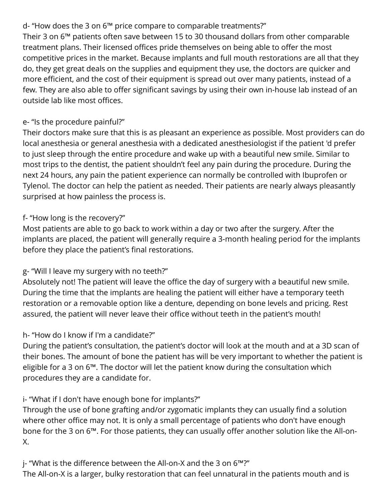# d- "How does the 3 on 6™ price compare to comparable treatments?"

Their 3 on 6™ patients often save between 15 to 30 thousand dollars from other comparable treatment plans. Their licensed offices pride themselves on being able to offer the most competitive prices in the market. Because implants and full mouth restorations are all that they do, they get great deals on the supplies and equipment they use, the doctors are quicker and more efficient, and the cost of their equipment is spread out over many patients, instead of a few. They are also able to offer significant savings by using their own in-house lab instead of an outside lab like most offices.

# e- "Is the procedure painful?"

Their doctors make sure that this is as pleasant an experience as possible. Most providers can do local anesthesia or general anesthesia with a dedicated anesthesiologist if the patient 'd prefer to just sleep through the entire procedure and wake up with a beautiful new smile. Similar to most trips to the dentist, the patient shouldn't feel any pain during the procedure. During the next 24 hours, any pain the patient experience can normally be controlled with Ibuprofen or Tylenol. The doctor can help the patient as needed. Their patients are nearly always pleasantly surprised at how painless the process is.

### f- "How long is the recovery?"

Most patients are able to go back to work within a day or two after the surgery. After the implants are placed, the patient will generally require a 3-month healing period for the implants before they place the patient's final restorations.

### g- "Will I leave my surgery with no teeth?"

Absolutely not! The patient will leave the office the day of surgery with a beautiful new smile. During the time that the implants are healing the patient will either have a temporary teeth restoration or a removable option like a denture, depending on bone levels and pricing. Rest assured, the patient will never leave their office without teeth in the patient's mouth!

### h- "How do I know if I'm a candidate?"

During the patient's consultation, the patient's doctor will look at the mouth and at a 3D scan of their bones. The amount of bone the patient has will be very important to whether the patient is eligible for a 3 on 6™. The doctor will let the patient know during the consultation which procedures they are a candidate for.

### i- "What if I don't have enough bone for implants?"

Through the use of bone grafting and/or zygomatic implants they can usually find a solution where other office may not. It is only a small percentage of patients who don't have enough bone for the 3 on 6™. For those patients, they can usually offer another solution like the All-on-X.

j- "What is the difference between the All-on-X and the 3 on 6™?" The All-on-X is a larger, bulky restoration that can feel unnatural in the patients mouth and is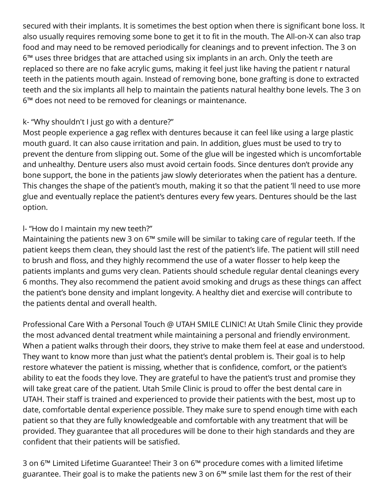secured with their implants. It is sometimes the best option when there is significant bone loss. It also usually requires removing some bone to get it to fit in the mouth. The All-on-X can also trap food and may need to be removed periodically for cleanings and to prevent infection. The 3 on 6™ uses three bridges that are attached using six implants in an arch. Only the teeth are replaced so there are no fake acrylic gums, making it feel just like having the patient r natural teeth in the patients mouth again. Instead of removing bone, bone grafting is done to extracted teeth and the six implants all help to maintain the patients natural healthy bone levels. The 3 on 6™ does not need to be removed for cleanings or maintenance.

### k- "Why shouldn't I just go with a denture?"

Most people experience a gag reflex with dentures because it can feel like using a large plastic mouth guard. It can also cause irritation and pain. In addition, glues must be used to try to prevent the denture from slipping out. Some of the glue will be ingested which is uncomfortable and unhealthy. Denture users also must avoid certain foods. Since dentures don't provide any bone support, the bone in the patients jaw slowly deteriorates when the patient has a denture. This changes the shape of the patient's mouth, making it so that the patient 'll need to use more glue and eventually replace the patient's dentures every few years. Dentures should be the last option.

#### l- "How do I maintain my new teeth?"

Maintaining the patients new 3 on 6™ smile will be similar to taking care of regular teeth. If the patient keeps them clean, they should last the rest of the patient's life. The patient will still need to brush and floss, and they highly recommend the use of a water flosser to help keep the patients implants and gums very clean. Patients should schedule regular dental cleanings every 6 months. They also recommend the patient avoid smoking and drugs as these things can affect the patient's bone density and implant longevity. A healthy diet and exercise will contribute to the patients dental and overall health.

Professional Care With a Personal Touch @ UTAH SMILE CLINIC! At Utah Smile Clinic they provide the most advanced dental treatment while maintaining a personal and friendly environment. When a patient walks through their doors, they strive to make them feel at ease and understood. They want to know more than just what the patient's dental problem is. Their goal is to help restore whatever the patient is missing, whether that is confidence, comfort, or the patient's ability to eat the foods they love. They are grateful to have the patient's trust and promise they will take great care of the patient. Utah Smile Clinic is proud to offer the best dental care in UTAH. Their staff is trained and experienced to provide their patients with the best, most up to date, comfortable dental experience possible. They make sure to spend enough time with each patient so that they are fully knowledgeable and comfortable with any treatment that will be provided. They guarantee that all procedures will be done to their high standards and they are confident that their patients will be satisfied.

3 on 6™ Limited Lifetime Guarantee! Their 3 on 6™ procedure comes with a limited lifetime guarantee. Their goal is to make the patients new 3 on 6™ smile last them for the rest of their